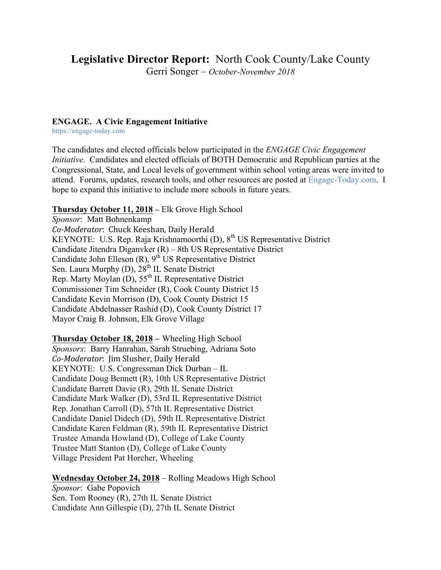# **Legislative Director Report:** North Cook County/Lake County

Gerri Songer – *October-November 2018*

#### **ENGAGE. A Civic Engagement Initiative**

https://engage-today.com

The candidates and elected officials below participated in the *ENGAGE Civic Engagement Initiative*. Candidates and elected officials of BOTH Democratic and Republican parties at the Congressional, State, and Local levels of government within school voting areas were invited to attend. Forums, updates, research tools, and other resources are posted at Engage-Today.com. I hope to expand this initiative to include more schools in future years.

#### **Thursday October 11, 2018 –** Elk Grove High School

*Sponsor*: Matt Bohnenkamp *Co-Moderator*: Chuck Keeshan, Daily Herald KEYNOTE: U.S. Rep. Raja Krishnamoorthi (D), 8<sup>th</sup> US Representative District Candidate Jitendra Diganvker (R) – 8th US Representative District Candidate John Elleson  $(R)$ ,  $9<sup>th</sup>$  US Representative District Sen. Laura Murphy (D),  $28^{th}$  IL Senate District Rep. Marty Moylan  $(D)$ ,  $55<sup>th</sup>$  IL Representative District Commissioner Tim Schneider (R), Cook County District 15 Candidate Kevin Morrison (D), Cook County District 15 Candidate Abdelnasser Rashid (D), Cook County District 17 Mayor Craig B. Johnson, Elk Grove Village

**Thursday October 18, 2018 –** Wheeling High School *Sponsors*: Barry Hanrahan, Sarah Struebing, Adriana Soto *Co-Moderator*: Iim Slusher, Daily Herald KEYNOTE: U.S. Congressman Dick Durban – IL Candidate Doug Bennett (R), 10th US Representative District Candidate Barrett Davie (R), 29th IL Senate District Candidate Mark Walker (D), 53rd IL Representative District Rep. Jonathan Carroll (D), 57th IL Representative District Candidate Daniel Didech (D), 59th IL Representative District Candidate Karen Feldman (R), 59th IL Representative District Trustee Amanda Howland (D), College of Lake County Trustee Matt Stanton (D), College of Lake County Village President Pat Horcher, Wheeling

## **Wednesday October 24, 2018** – Rolling Meadows High School

*Sponsor*: Gabe Popovich Sen. Tom Rooney (R), 27th IL Senate District Candidate Ann Gillespie (D), 27th IL Senate District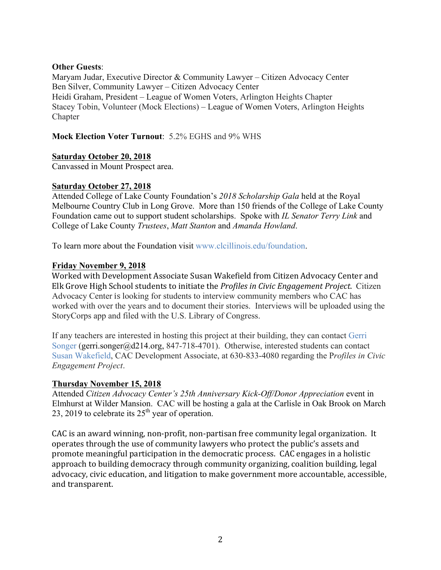#### **Other Guests**:

Maryam Judar, Executive Director & Community Lawyer – Citizen Advocacy Center Ben Silver, Community Lawyer – Citizen Advocacy Center Heidi Graham, President – League of Women Voters, Arlington Heights Chapter Stacey Tobin, Volunteer (Mock Elections) – League of Women Voters, Arlington Heights **Chapter** 

**Mock Election Voter Turnout**: 5.2% EGHS and 9% WHS

#### **Saturday October 20, 2018**

Canvassed in Mount Prospect area.

#### **Saturday October 27, 2018**

Attended College of Lake County Foundation's *2018 Scholarship Gala* held at the Royal Melbourne Country Club in Long Grove. More than 150 friends of the College of Lake County Foundation came out to support student scholarships. Spoke with *IL Senator Terry Link* and College of Lake County *Trustees*, *Matt Stanton* and *Amanda Howland*.

To learn more about the Foundation visit www.clcillinois.edu/foundation.

#### **Friday November 9, 2018**

Worked with Development Associate Susan Wakefield from Citizen Advocacy Center and Elk Grove High School students to initiate the *Profiles in Civic Engagement Project*. Citizen Advocacy Center is looking for students to interview community members who CAC has worked with over the years and to document their stories. Interviews will be uploaded using the StoryCorps app and filed with the U.S. Library of Congress.

If any teachers are interested in hosting this project at their building, they can contact Gerri Songer (gerri.songer@d214.org, 847-718-4701). Otherwise, interested students can contact Susan Wakefield, CAC Development Associate, at 630-833-4080 regarding the P*rofiles in Civic Engagement Project*.

#### **Thursday November 15, 2018**

Attended *Citizen Advocacy Center's 25th Anniversary Kick-Off/Donor Appreciation* event in Elmhurst at Wilder Mansion. CAC will be hosting a gala at the Carlisle in Oak Brook on March 23, 2019 to celebrate its  $25<sup>th</sup>$  year of operation.

CAC is an award winning, non-profit, non-partisan free community legal organization. It operates through the use of community lawyers who protect the public's assets and promote meaningful participation in the democratic process. CAC engages in a holistic approach to building democracy through community organizing, coalition building, legal advocacy, civic education, and litigation to make government more accountable, accessible, and transparent.